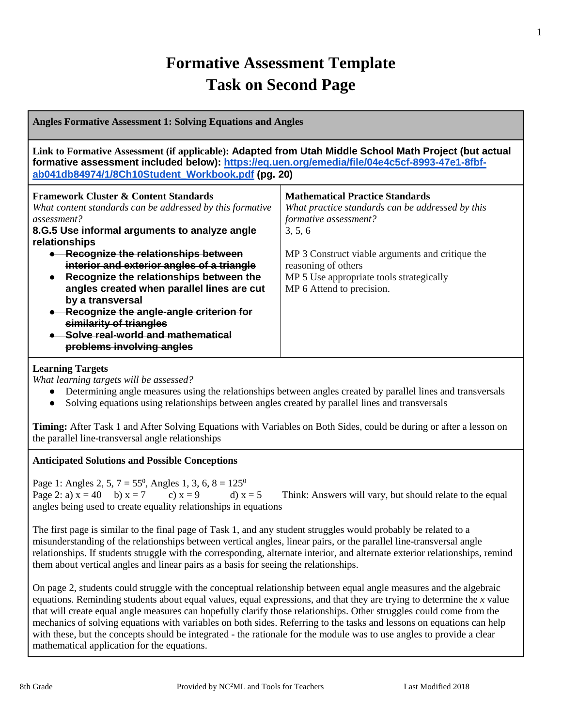## **Formative Assessment Template Task on Second Page**

| <b>Angles Formative Assessment 1: Solving Equations and Angles</b>                                                                                                                                                                                                                                                                                                                                                                                                                                                                                      |                                                                                                                                                                                                                                                                                    |  |
|---------------------------------------------------------------------------------------------------------------------------------------------------------------------------------------------------------------------------------------------------------------------------------------------------------------------------------------------------------------------------------------------------------------------------------------------------------------------------------------------------------------------------------------------------------|------------------------------------------------------------------------------------------------------------------------------------------------------------------------------------------------------------------------------------------------------------------------------------|--|
| Link to Formative Assessment (if applicable): Adapted from Utah Middle School Math Project (but actual<br>formative assessment included below): https://eq.uen.org/emedia/file/04e4c5cf-8993-47e1-8fbf-<br>ab041db84974/1/8Ch10Student_Workbook.pdf (pg. 20)                                                                                                                                                                                                                                                                                            |                                                                                                                                                                                                                                                                                    |  |
| <b>Framework Cluster &amp; Content Standards</b><br>What content standards can be addressed by this formative<br>assessment?<br>8.G.5 Use informal arguments to analyze angle<br>relationships<br>• Recognize the relationships between<br>interior and exterior angles of a triangle<br>Recognize the relationships between the<br>$\bullet$<br>angles created when parallel lines are cut<br>by a transversal<br>Recognize the angle-angle criterion for<br>similarity of triangles<br>Solve real-world and mathematical<br>problems involving angles | <b>Mathematical Practice Standards</b><br>What practice standards can be addressed by this<br>formative assessment?<br>3, 5, 6<br>MP 3 Construct viable arguments and critique the<br>reasoning of others<br>MP 5 Use appropriate tools strategically<br>MP 6 Attend to precision. |  |

#### **Learning Targets**

*What learning targets will be assessed?*

- Determining angle measures using the relationships between angles created by parallel lines and transversals
- Solving equations using relationships between angles created by parallel lines and transversals

**Timing:** After Task 1 and After Solving Equations with Variables on Both Sides, could be during or after a lesson on the parallel line-transversal angle relationships

#### **Anticipated Solutions and Possible Conceptions**

Page 1: Angles 2, 5,  $7 = 55^0$ , Angles 1, 3, 6,  $8 = 125^0$ Page 2: a)  $x = 40$  b)  $x = 7$  c)  $x = 9$  d)  $x = 5$  Think: Answers will vary, but should relate to the equal angles being used to create equality relationships in equations

The first page is similar to the final page of Task 1, and any student struggles would probably be related to a misunderstanding of the relationships between vertical angles, linear pairs, or the parallel line-transversal angle relationships. If students struggle with the corresponding, alternate interior, and alternate exterior relationships, remind them about vertical angles and linear pairs as a basis for seeing the relationships.

On page 2, students could struggle with the conceptual relationship between equal angle measures and the algebraic equations. Reminding students about equal values, equal expressions, and that they are trying to determine the *x* value that will create equal angle measures can hopefully clarify those relationships. Other struggles could come from the mechanics of solving equations with variables on both sides. Referring to the tasks and lessons on equations can help with these, but the concepts should be integrated - the rationale for the module was to use angles to provide a clear mathematical application for the equations.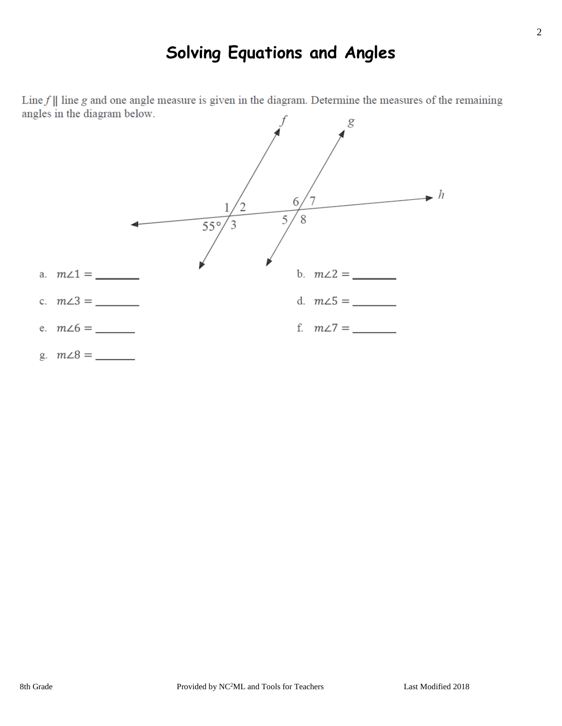## **Solving Equations and Angles**

Line  $f \parallel$  line g and one angle measure is given in the diagram. Determine the measures of the remaining angles in the diagram below.

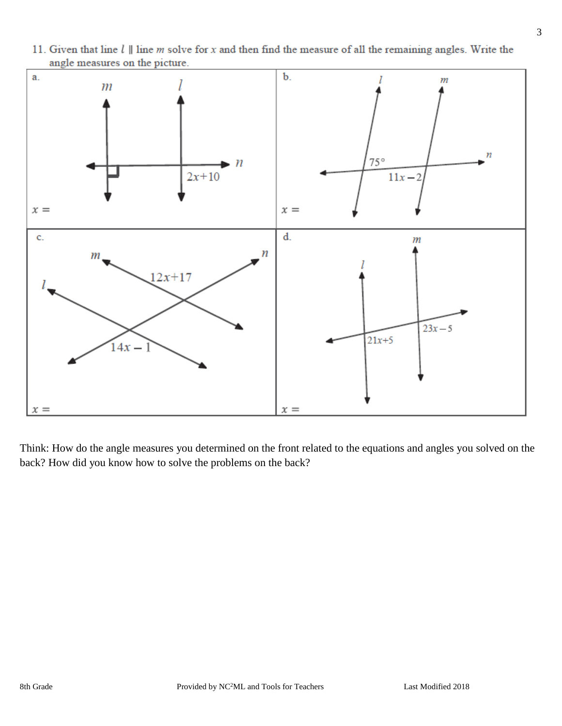

11. Given that line  $l \parallel$  line m solve for x and then find the measure of all the remaining angles. Write the angle measures on the picture.

Think: How do the angle measures you determined on the front related to the equations and angles you solved on the back? How did you know how to solve the problems on the back?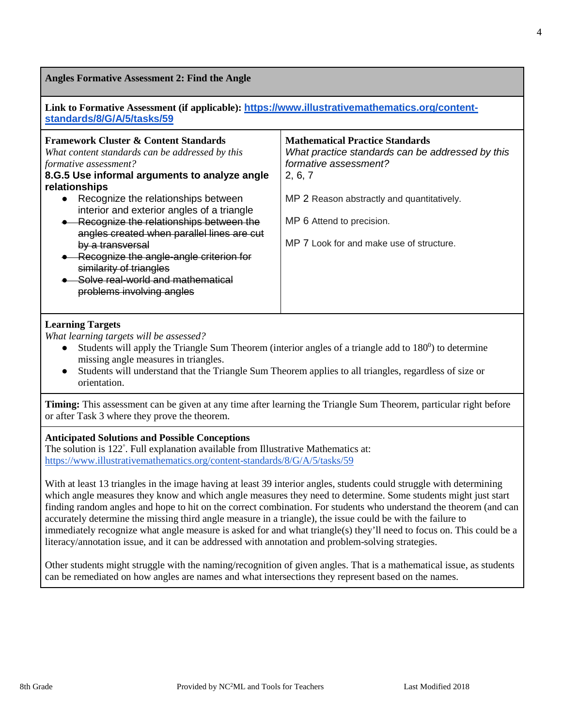**Angles Formative Assessment 2: Find the Angle**

| Link to Formative Assessment (if applicable): https://www.illustrativemathematics.org/content- |  |
|------------------------------------------------------------------------------------------------|--|
| standards/8/G/A/5/tasks/59                                                                     |  |

| <b>Framework Cluster &amp; Content Standards</b><br>What content standards can be addressed by this<br>formative assessment?<br>8.G.5 Use informal arguments to analyze angle<br>relationships<br>• Recognize the relationships between<br>interior and exterior angles of a triangle<br>Recognize the relationships between the<br>angles created when parallel lines are cut<br>by a transversal<br>Recognize the angle-angle criterion for<br>similarity of triangles<br>Solve real-world and mathematical<br>problems involving angles | <b>Mathematical Practice Standards</b><br>What practice standards can be addressed by this<br>formative assessment?<br>2, 6, 7<br>MP 2 Reason abstractly and quantitatively.<br>MP 6 Attend to precision.<br>MP 7 Look for and make use of structure. |
|--------------------------------------------------------------------------------------------------------------------------------------------------------------------------------------------------------------------------------------------------------------------------------------------------------------------------------------------------------------------------------------------------------------------------------------------------------------------------------------------------------------------------------------------|-------------------------------------------------------------------------------------------------------------------------------------------------------------------------------------------------------------------------------------------------------|
|                                                                                                                                                                                                                                                                                                                                                                                                                                                                                                                                            |                                                                                                                                                                                                                                                       |

#### **Learning Targets**

*What learning targets will be assessed?*

- Students will apply the Triangle Sum Theorem (interior angles of a triangle add to  $180^\circ$ ) to determine missing angle measures in triangles.
- Students will understand that the Triangle Sum Theorem applies to all triangles, regardless of size or orientation.

**Timing:** This assessment can be given at any time after learning the Triangle Sum Theorem, particular right before or after Task 3 where they prove the theorem.

#### **Anticipated Solutions and Possible Conceptions**

The solution is 122° . Full explanation available from Illustrative Mathematics at: <https://www.illustrativemathematics.org/content-standards/8/G/A/5/tasks/59>

With at least 13 triangles in the image having at least 39 interior angles, students could struggle with determining which angle measures they know and which angle measures they need to determine. Some students might just start finding random angles and hope to hit on the correct combination. For students who understand the theorem (and can accurately determine the missing third angle measure in a triangle), the issue could be with the failure to immediately recognize what angle measure is asked for and what triangle(s) they'll need to focus on. This could be a literacy/annotation issue, and it can be addressed with annotation and problem-solving strategies.

Other students might struggle with the naming/recognition of given angles. That is a mathematical issue, as students can be remediated on how angles are names and what intersections they represent based on the names.